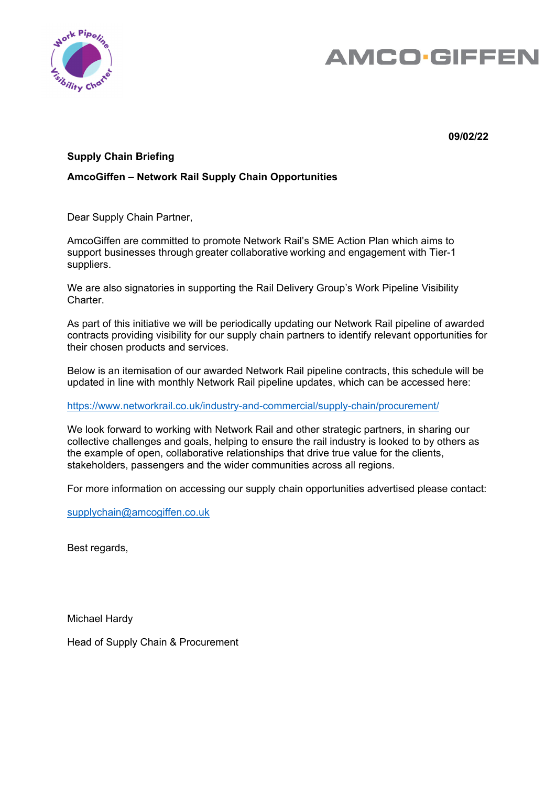

# **AMCO.GIFFEN**

**09/02/22** 

## **Supply Chain Briefing**

## **AmcoGiffen – Network Rail Supply Chain Opportunities**

Dear Supply Chain Partner,

AmcoGiffen are committed to promote Network Rail's SME Action Plan which aims to support businesses through greater collaborative working and engagement with Tier-1 suppliers.

We are also signatories in supporting the Rail Delivery Group's Work Pipeline Visibility Charter.

As part of this initiative we will be periodically updating our Network Rail pipeline of awarded contracts providing visibility for our supply chain partners to identify relevant opportunities for their chosen products and services.

Below is an itemisation of our awarded Network Rail pipeline contracts, this schedule will be updated in line with monthly Network Rail pipeline updates, which can be accessed here:

#### https://www.networkrail.co.uk/industry-and-commercial/supply-chain/procurement/

We look forward to working with Network Rail and other strategic partners, in sharing our collective challenges and goals, helping to ensure the rail industry is looked to by others as the example of open, collaborative relationships that drive true value for the clients, stakeholders, passengers and the wider communities across all regions.

For more information on accessing our supply chain opportunities advertised please contact:

supplychain@amcogiffen.co.uk

Best regards,

Michael Hardy

Head of Supply Chain & Procurement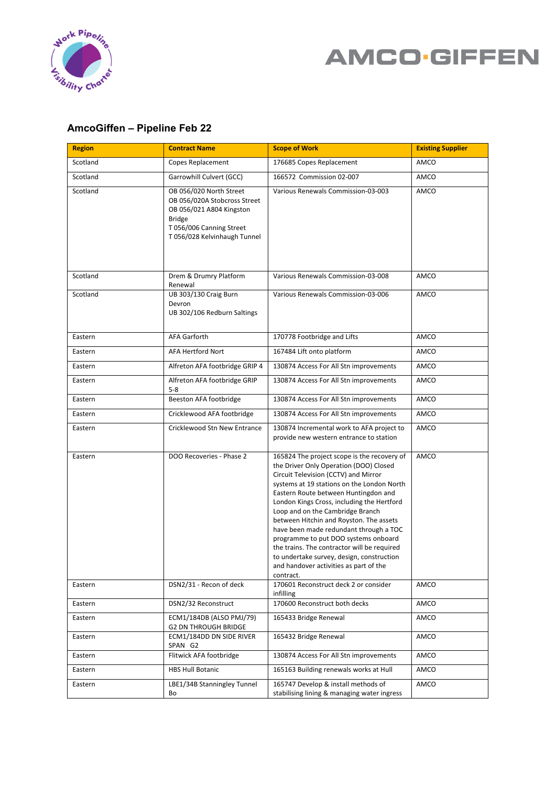

## **AMCO·GIFFEN**

## **AmcoGiffen – Pipeline Feb 22**

| <b>Region</b> | <b>Contract Name</b>                                                                                                                                             | <b>Scope of Work</b>                                                                                                                                                                                                                                                                                                                                                                                                                                                                                                                                                                  | <b>Existing Supplier</b> |
|---------------|------------------------------------------------------------------------------------------------------------------------------------------------------------------|---------------------------------------------------------------------------------------------------------------------------------------------------------------------------------------------------------------------------------------------------------------------------------------------------------------------------------------------------------------------------------------------------------------------------------------------------------------------------------------------------------------------------------------------------------------------------------------|--------------------------|
| Scotland      | Copes Replacement                                                                                                                                                | 176685 Copes Replacement                                                                                                                                                                                                                                                                                                                                                                                                                                                                                                                                                              | AMCO                     |
| Scotland      | Garrowhill Culvert (GCC)                                                                                                                                         | 166572 Commission 02-007                                                                                                                                                                                                                                                                                                                                                                                                                                                                                                                                                              | AMCO                     |
| Scotland      | OB 056/020 North Street<br>OB 056/020A Stobcross Street<br>OB 056/021 A804 Kingston<br><b>Bridge</b><br>T 056/006 Canning Street<br>T 056/028 Kelvinhaugh Tunnel | Various Renewals Commission-03-003                                                                                                                                                                                                                                                                                                                                                                                                                                                                                                                                                    | AMCO                     |
| Scotland      | Drem & Drumry Platform<br>Renewal                                                                                                                                | Various Renewals Commission-03-008                                                                                                                                                                                                                                                                                                                                                                                                                                                                                                                                                    | AMCO                     |
| Scotland      | <b>UB 303/130 Craig Burn</b><br>Devron<br>UB 302/106 Redburn Saltings                                                                                            | Various Renewals Commission-03-006                                                                                                                                                                                                                                                                                                                                                                                                                                                                                                                                                    | AMCO                     |
| Eastern       | <b>AFA Garforth</b>                                                                                                                                              | 170778 Footbridge and Lifts                                                                                                                                                                                                                                                                                                                                                                                                                                                                                                                                                           | AMCO                     |
| Eastern       | <b>AFA Hertford Nort</b>                                                                                                                                         | 167484 Lift onto platform                                                                                                                                                                                                                                                                                                                                                                                                                                                                                                                                                             | AMCO                     |
| Eastern       | Alfreton AFA footbridge GRIP 4                                                                                                                                   | 130874 Access For All Stn improvements                                                                                                                                                                                                                                                                                                                                                                                                                                                                                                                                                | AMCO                     |
| Eastern       | Alfreton AFA footbridge GRIP<br>$5 - 8$                                                                                                                          | 130874 Access For All Stn improvements                                                                                                                                                                                                                                                                                                                                                                                                                                                                                                                                                | AMCO                     |
| Eastern       | Beeston AFA footbridge                                                                                                                                           | 130874 Access For All Stn improvements                                                                                                                                                                                                                                                                                                                                                                                                                                                                                                                                                | AMCO                     |
| Eastern       | Cricklewood AFA footbridge                                                                                                                                       | 130874 Access For All Stn improvements                                                                                                                                                                                                                                                                                                                                                                                                                                                                                                                                                | AMCO                     |
| Eastern       | Cricklewood Stn New Entrance                                                                                                                                     | 130874 Incremental work to AFA project to<br>provide new western entrance to station                                                                                                                                                                                                                                                                                                                                                                                                                                                                                                  | AMCO                     |
| Eastern       | DOO Recoveries - Phase 2                                                                                                                                         | 165824 The project scope is the recovery of<br>the Driver Only Operation (DOO) Closed<br>Circuit Television (CCTV) and Mirror<br>systems at 19 stations on the London North<br>Eastern Route between Huntingdon and<br>London Kings Cross, including the Hertford<br>Loop and on the Cambridge Branch<br>between Hitchin and Royston. The assets<br>have been made redundant through a TOC<br>programme to put DOO systems onboard<br>the trains. The contractor will be required<br>to undertake survey, design, construction<br>and handover activities as part of the<br>contract. | AMCO                     |
| Eastern       | DSN2/31 - Recon of deck                                                                                                                                          | 170601 Reconstruct deck 2 or consider<br>infilling                                                                                                                                                                                                                                                                                                                                                                                                                                                                                                                                    | AMCO                     |
| Eastern       | DSN2/32 Reconstruct                                                                                                                                              | 170600 Reconstruct both decks                                                                                                                                                                                                                                                                                                                                                                                                                                                                                                                                                         | AMCO                     |
| Eastern       | ECM1/184DB (ALSO PMJ/79)<br><b>G2 DN THROUGH BRIDGE</b>                                                                                                          | 165433 Bridge Renewal                                                                                                                                                                                                                                                                                                                                                                                                                                                                                                                                                                 | AMCO                     |
| Eastern       | ECM1/184DD DN SIDE RIVER<br>SPAN G2                                                                                                                              | 165432 Bridge Renewal                                                                                                                                                                                                                                                                                                                                                                                                                                                                                                                                                                 | AMCO                     |
| Eastern       | Flitwick AFA footbridge                                                                                                                                          | 130874 Access For All Stn improvements                                                                                                                                                                                                                                                                                                                                                                                                                                                                                                                                                | AMCO                     |
| Eastern       | <b>HBS Hull Botanic</b>                                                                                                                                          | 165163 Building renewals works at Hull                                                                                                                                                                                                                                                                                                                                                                                                                                                                                                                                                | AMCO                     |
| Eastern       | LBE1/34B Stanningley Tunnel<br>Bo                                                                                                                                | 165747 Develop & install methods of<br>stabilising lining & managing water ingress                                                                                                                                                                                                                                                                                                                                                                                                                                                                                                    | AMCO                     |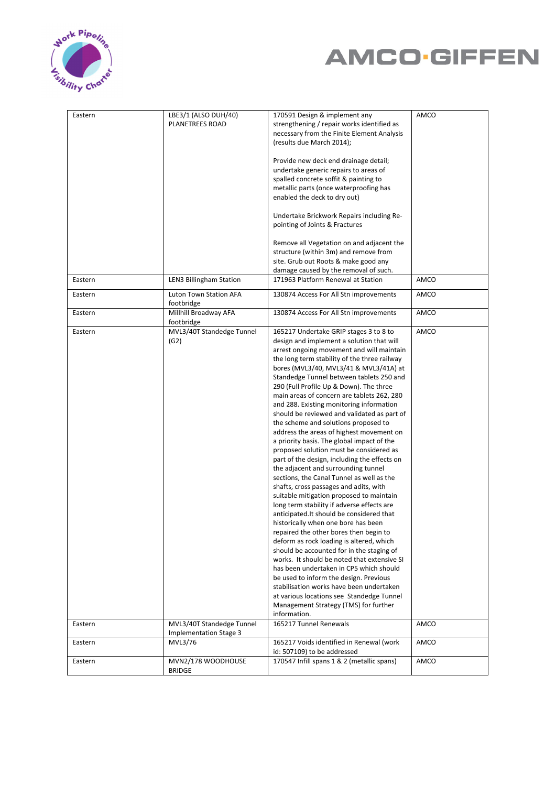



| Eastern | LBE3/1 (ALSO DUH/40)<br>PLANETREES ROAD             | 170591 Design & implement any<br>strengthening / repair works identified as<br>necessary from the Finite Element Analysis<br>(results due March 2014);<br>Provide new deck end drainage detail;<br>undertake generic repairs to areas of<br>spalled concrete soffit & painting to<br>metallic parts (once waterproofing has<br>enabled the deck to dry out)<br>Undertake Brickwork Repairs including Re-<br>pointing of Joints & Fractures<br>Remove all Vegetation on and adjacent the<br>structure (within 3m) and remove from<br>site. Grub out Roots & make good any                                                                                                                                                                                                                                                                                                                                                                                                                                                                                                                                                                                                                                                                                                                                                                                                                                                     | AMCO |
|---------|-----------------------------------------------------|------------------------------------------------------------------------------------------------------------------------------------------------------------------------------------------------------------------------------------------------------------------------------------------------------------------------------------------------------------------------------------------------------------------------------------------------------------------------------------------------------------------------------------------------------------------------------------------------------------------------------------------------------------------------------------------------------------------------------------------------------------------------------------------------------------------------------------------------------------------------------------------------------------------------------------------------------------------------------------------------------------------------------------------------------------------------------------------------------------------------------------------------------------------------------------------------------------------------------------------------------------------------------------------------------------------------------------------------------------------------------------------------------------------------------|------|
| Eastern | <b>LEN3 Billingham Station</b>                      | damage caused by the removal of such.<br>171963 Platform Renewal at Station                                                                                                                                                                                                                                                                                                                                                                                                                                                                                                                                                                                                                                                                                                                                                                                                                                                                                                                                                                                                                                                                                                                                                                                                                                                                                                                                                  | AMCO |
| Eastern | <b>Luton Town Station AFA</b>                       | 130874 Access For All Stn improvements                                                                                                                                                                                                                                                                                                                                                                                                                                                                                                                                                                                                                                                                                                                                                                                                                                                                                                                                                                                                                                                                                                                                                                                                                                                                                                                                                                                       | AMCO |
|         | footbridge                                          |                                                                                                                                                                                                                                                                                                                                                                                                                                                                                                                                                                                                                                                                                                                                                                                                                                                                                                                                                                                                                                                                                                                                                                                                                                                                                                                                                                                                                              |      |
| Eastern | Millhill Broadway AFA<br>footbridge                 | 130874 Access For All Stn improvements                                                                                                                                                                                                                                                                                                                                                                                                                                                                                                                                                                                                                                                                                                                                                                                                                                                                                                                                                                                                                                                                                                                                                                                                                                                                                                                                                                                       | AMCO |
| Eastern | MVL3/40T Standedge Tunnel<br>(G2)                   | 165217 Undertake GRIP stages 3 to 8 to<br>design and implement a solution that will<br>arrest ongoing movement and will maintain<br>the long term stability of the three railway<br>bores (MVL3/40, MVL3/41 & MVL3/41A) at<br>Standedge Tunnel between tablets 250 and<br>290 (Full Profile Up & Down). The three<br>main areas of concern are tablets 262, 280<br>and 288. Existing monitoring information<br>should be reviewed and validated as part of<br>the scheme and solutions proposed to<br>address the areas of highest movement on<br>a priority basis. The global impact of the<br>proposed solution must be considered as<br>part of the design, including the effects on<br>the adjacent and surrounding tunnel<br>sections, the Canal Tunnel as well as the<br>shafts, cross passages and adits, with<br>suitable mitigation proposed to maintain<br>long term stability if adverse effects are<br>anticipated. It should be considered that<br>historically when one bore has been<br>repaired the other bores then begin to<br>deform as rock loading is altered, which<br>should be accounted for in the staging of<br>works. It should be noted that extensive SI<br>has been undertaken in CP5 which should<br>be used to inform the design. Previous<br>stabilisation works have been undertaken<br>at various locations see Standedge Tunnel<br>Management Strategy (TMS) for further<br>information. | AMCO |
| Eastern | MVL3/40T Standedge Tunnel<br>Implementation Stage 3 | 165217 Tunnel Renewals                                                                                                                                                                                                                                                                                                                                                                                                                                                                                                                                                                                                                                                                                                                                                                                                                                                                                                                                                                                                                                                                                                                                                                                                                                                                                                                                                                                                       | AMCO |
| Eastern | MVL3/76                                             | 165217 Voids identified in Renewal (work<br>id: 507109) to be addressed                                                                                                                                                                                                                                                                                                                                                                                                                                                                                                                                                                                                                                                                                                                                                                                                                                                                                                                                                                                                                                                                                                                                                                                                                                                                                                                                                      | AMCO |
| Eastern | MVN2/178 WOODHOUSE<br><b>BRIDGE</b>                 | 170547 Infill spans 1 & 2 (metallic spans)                                                                                                                                                                                                                                                                                                                                                                                                                                                                                                                                                                                                                                                                                                                                                                                                                                                                                                                                                                                                                                                                                                                                                                                                                                                                                                                                                                                   | AMCO |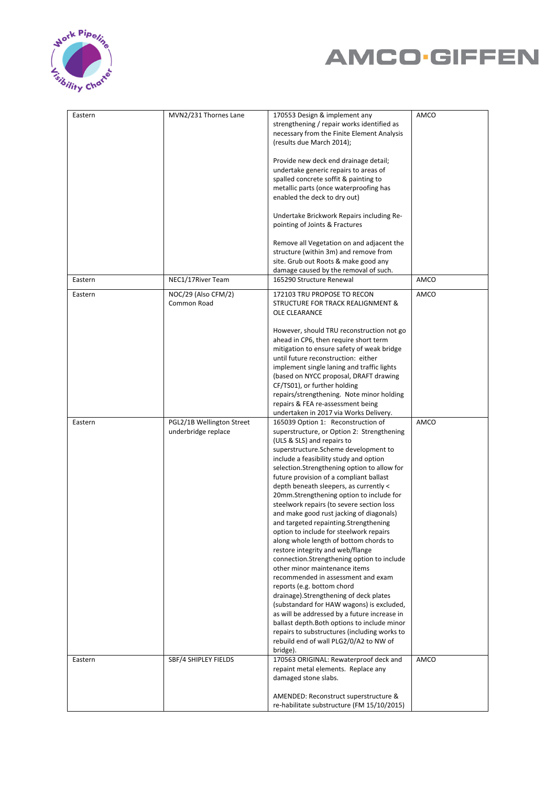



| Eastern | MVN2/231 Thornes Lane                            | 170553 Design & implement any<br>strengthening / repair works identified as<br>necessary from the Finite Element Analysis<br>(results due March 2014);                                                                                                                                                                                                                                                                                                                                                                                                                                                                                                                                                                                                                                                                                                                                                                                                                                                                                                                                        | AMCO |
|---------|--------------------------------------------------|-----------------------------------------------------------------------------------------------------------------------------------------------------------------------------------------------------------------------------------------------------------------------------------------------------------------------------------------------------------------------------------------------------------------------------------------------------------------------------------------------------------------------------------------------------------------------------------------------------------------------------------------------------------------------------------------------------------------------------------------------------------------------------------------------------------------------------------------------------------------------------------------------------------------------------------------------------------------------------------------------------------------------------------------------------------------------------------------------|------|
|         |                                                  | Provide new deck end drainage detail;<br>undertake generic repairs to areas of<br>spalled concrete soffit & painting to<br>metallic parts (once waterproofing has                                                                                                                                                                                                                                                                                                                                                                                                                                                                                                                                                                                                                                                                                                                                                                                                                                                                                                                             |      |
|         |                                                  | enabled the deck to dry out)<br>Undertake Brickwork Repairs including Re-<br>pointing of Joints & Fractures                                                                                                                                                                                                                                                                                                                                                                                                                                                                                                                                                                                                                                                                                                                                                                                                                                                                                                                                                                                   |      |
|         |                                                  | Remove all Vegetation on and adjacent the<br>structure (within 3m) and remove from<br>site. Grub out Roots & make good any                                                                                                                                                                                                                                                                                                                                                                                                                                                                                                                                                                                                                                                                                                                                                                                                                                                                                                                                                                    |      |
| Eastern | NEC1/17River Team                                | damage caused by the removal of such.<br>165290 Structure Renewal                                                                                                                                                                                                                                                                                                                                                                                                                                                                                                                                                                                                                                                                                                                                                                                                                                                                                                                                                                                                                             | AMCO |
| Eastern | NOC/29 (Also CFM/2)<br>Common Road               | 172103 TRU PROPOSE TO RECON<br>STRUCTURE FOR TRACK REALIGNMENT &<br>OLE CLEARANCE                                                                                                                                                                                                                                                                                                                                                                                                                                                                                                                                                                                                                                                                                                                                                                                                                                                                                                                                                                                                             | AMCO |
|         |                                                  | However, should TRU reconstruction not go<br>ahead in CP6, then require short term<br>mitigation to ensure safety of weak bridge<br>until future reconstruction: either<br>implement single laning and traffic lights<br>(based on NYCC proposal, DRAFT drawing<br>CF/TS01), or further holding<br>repairs/strengthening. Note minor holding<br>repairs & FEA re-assessment being<br>undertaken in 2017 via Works Delivery.                                                                                                                                                                                                                                                                                                                                                                                                                                                                                                                                                                                                                                                                   |      |
| Eastern | PGL2/1B Wellington Street<br>underbridge replace | 165039 Option 1: Reconstruction of<br>superstructure, or Option 2: Strengthening<br>(ULS & SLS) and repairs to<br>superstructure. Scheme development to<br>include a feasibility study and option<br>selection.Strengthening option to allow for<br>future provision of a compliant ballast<br>depth beneath sleepers, as currently <<br>20mm.Strengthening option to include for<br>steelwork repairs (to severe section loss<br>and make good rust jacking of diagonals)<br>and targeted repainting.Strengthening<br>option to include for steelwork repairs<br>along whole length of bottom chords to<br>restore integrity and web/flange<br>connection.Strengthening option to include<br>other minor maintenance items<br>recommended in assessment and exam<br>reports (e.g. bottom chord<br>drainage). Strengthening of deck plates<br>(substandard for HAW wagons) is excluded,<br>as will be addressed by a future increase in<br>ballast depth. Both options to include minor<br>repairs to substructures (including works to<br>rebuild end of wall PLG2/0/A2 to NW of<br>bridge). | AMCO |
| Eastern | SBF/4 SHIPLEY FIELDS                             | 170563 ORIGINAL: Rewaterproof deck and<br>repaint metal elements. Replace any<br>damaged stone slabs.                                                                                                                                                                                                                                                                                                                                                                                                                                                                                                                                                                                                                                                                                                                                                                                                                                                                                                                                                                                         | AMCO |
|         |                                                  | AMENDED: Reconstruct superstructure &<br>re-habilitate substructure (FM 15/10/2015)                                                                                                                                                                                                                                                                                                                                                                                                                                                                                                                                                                                                                                                                                                                                                                                                                                                                                                                                                                                                           |      |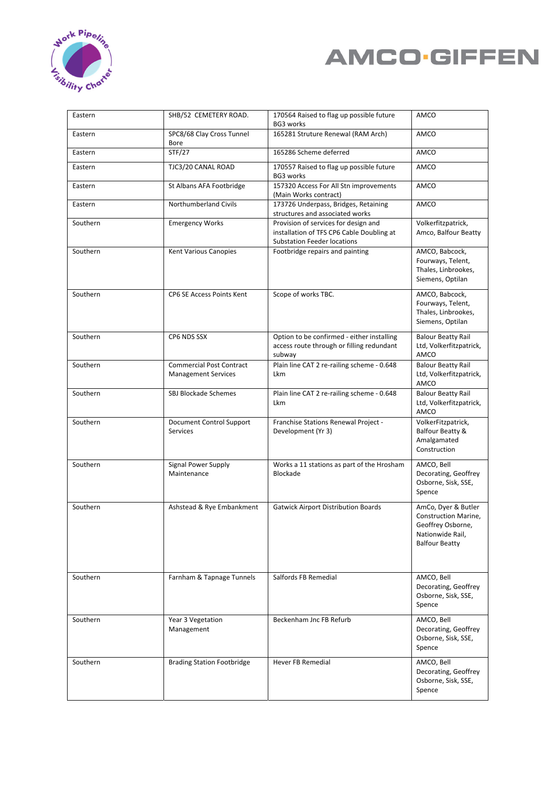



| Eastern  | SHB/52 CEMETERY ROAD.                                         | 170564 Raised to flag up possible future<br>BG3 works                                                                   | AMCO                                                                                                          |
|----------|---------------------------------------------------------------|-------------------------------------------------------------------------------------------------------------------------|---------------------------------------------------------------------------------------------------------------|
| Eastern  | SPC8/68 Clay Cross Tunnel<br><b>Bore</b>                      | 165281 Struture Renewal (RAM Arch)                                                                                      | AMCO                                                                                                          |
| Eastern  | STF/27                                                        | 165286 Scheme deferred                                                                                                  | AMCO                                                                                                          |
| Eastern  | TJC3/20 CANAL ROAD                                            | 170557 Raised to flag up possible future<br>BG3 works                                                                   | AMCO                                                                                                          |
| Eastern  | St Albans AFA Footbridge                                      | 157320 Access For All Stn improvements<br>(Main Works contract)                                                         | AMCO                                                                                                          |
| Eastern  | <b>Northumberland Civils</b>                                  | 173726 Underpass, Bridges, Retaining<br>structures and associated works                                                 | AMCO                                                                                                          |
| Southern | <b>Emergency Works</b>                                        | Provision of services for design and<br>installation of TFS CP6 Cable Doubling at<br><b>Substation Feeder locations</b> | Volkerfitzpatrick,<br>Amco, Balfour Beatty                                                                    |
| Southern | Kent Various Canopies                                         | Footbridge repairs and painting                                                                                         | AMCO, Babcock,<br>Fourways, Telent,<br>Thales, Linbrookes,<br>Siemens, Optilan                                |
| Southern | <b>CP6 SE Access Points Kent</b>                              | Scope of works TBC.                                                                                                     | AMCO, Babcock,<br>Fourways, Telent,<br>Thales, Linbrookes,<br>Siemens, Optilan                                |
| Southern | CP6 NDS SSX                                                   | Option to be confirmed - either installing<br>access route through or filling redundant<br>subway                       | <b>Balour Beatty Rail</b><br>Ltd, Volkerfitzpatrick,<br>AMCO                                                  |
| Southern | <b>Commercial Post Contract</b><br><b>Management Services</b> | Plain line CAT 2 re-railing scheme - 0.648<br>Lkm                                                                       | <b>Balour Beatty Rail</b><br>Ltd, Volkerfitzpatrick,<br>AMCO                                                  |
| Southern | SBJ Blockade Schemes                                          | Plain line CAT 2 re-railing scheme - 0.648<br><b>Lkm</b>                                                                | <b>Balour Beatty Rail</b><br>Ltd, Volkerfitzpatrick,<br>AMCO                                                  |
| Southern | Document Control Support<br>Services                          | Franchise Stations Renewal Project -<br>Development (Yr 3)                                                              | VolkerFitzpatrick,<br>Balfour Beatty &<br>Amalgamated<br>Construction                                         |
| Southern | Signal Power Supply<br>Maintenance                            | Works a 11 stations as part of the Hrosham<br>Blockade                                                                  | AMCO, Bell<br>Decorating, Geoffrey<br>Osborne, Sisk, SSE,<br>Spence                                           |
| Southern | Ashstead & Rye Embankment                                     | <b>Gatwick Airport Distribution Boards</b>                                                                              | AmCo, Dyer & Butler<br>Construction Marine,<br>Geoffrey Osborne,<br>Nationwide Rail,<br><b>Balfour Beatty</b> |
| Southern | Farnham & Tapnage Tunnels                                     | Salfords FB Remedial                                                                                                    | AMCO, Bell<br>Decorating, Geoffrey<br>Osborne, Sisk, SSE,<br>Spence                                           |
| Southern | Year 3 Vegetation<br>Management                               | Beckenham Jnc FB Refurb                                                                                                 | AMCO, Bell<br>Decorating, Geoffrey<br>Osborne, Sisk, SSE,<br>Spence                                           |
| Southern | <b>Brading Station Footbridge</b>                             | Hever FB Remedial                                                                                                       | AMCO, Bell<br>Decorating, Geoffrey<br>Osborne, Sisk, SSE,<br>Spence                                           |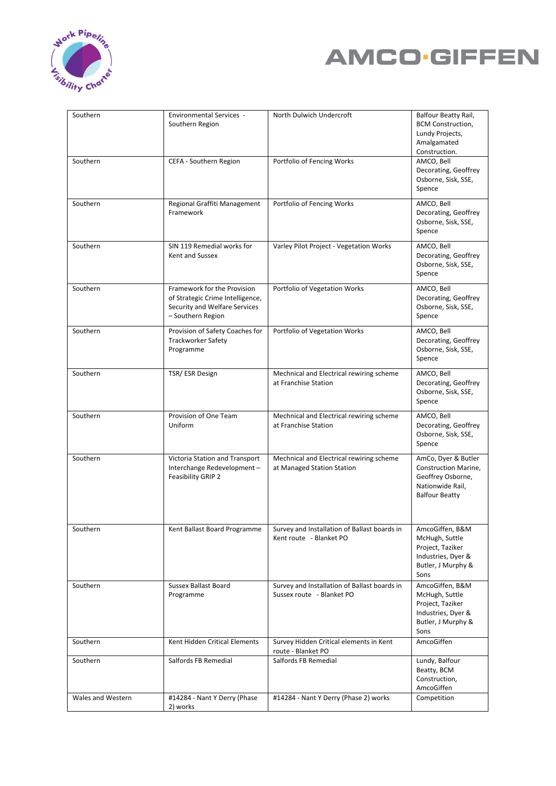



| Southern          | <b>Environmental Services -</b><br>Southern Region                                                                    | North Dulwich Undercroft                                                  | Balfour Beatty Rail,<br><b>BCM Construction,</b><br>Lundy Projects,<br>Amalgamated<br>Construction.           |
|-------------------|-----------------------------------------------------------------------------------------------------------------------|---------------------------------------------------------------------------|---------------------------------------------------------------------------------------------------------------|
| Southern          | CEFA - Southern Region                                                                                                | Portfolio of Fencing Works                                                | AMCO, Bell<br>Decorating, Geoffrey<br>Osborne, Sisk, SSE,<br>Spence                                           |
| Southern          | Regional Graffiti Management<br>Framework                                                                             | Portfolio of Fencing Works                                                | AMCO, Bell<br>Decorating, Geoffrey<br>Osborne, Sisk, SSE,<br>Spence                                           |
| Southern          | SIN 119 Remedial works for<br>Kent and Sussex                                                                         | Varley Pilot Project - Vegetation Works                                   | AMCO, Bell<br>Decorating, Geoffrey<br>Osborne, Sisk, SSE,<br>Spence                                           |
| Southern          | Framework for the Provision<br>of Strategic Crime Intelligence,<br>Security and Welfare Services<br>- Southern Region | Portfolio of Vegetation Works                                             | AMCO, Bell<br>Decorating, Geoffrey<br>Osborne, Sisk, SSE,<br>Spence                                           |
| Southern          | Provision of Safety Coaches for<br><b>Trackworker Safety</b><br>Programme                                             | Portfolio of Vegetation Works                                             | AMCO, Bell<br>Decorating, Geoffrey<br>Osborne, Sisk, SSE,<br>Spence                                           |
| Southern          | TSR/ESR Design                                                                                                        | Mechnical and Electrical rewiring scheme<br>at Franchise Station          | AMCO, Bell<br>Decorating, Geoffrey<br>Osborne, Sisk, SSE,<br>Spence                                           |
| Southern          | Provision of One Team<br>Uniform                                                                                      | Mechnical and Electrical rewiring scheme<br>at Franchise Station          | AMCO, Bell<br>Decorating, Geoffrey<br>Osborne, Sisk, SSE,<br>Spence                                           |
| Southern          | Victoria Station and Transport<br>Interchange Redevelopment-<br>Feasibility GRIP 2                                    | Mechnical and Electrical rewiring scheme<br>at Managed Station Station    | AmCo, Dyer & Butler<br>Construction Marine,<br>Geoffrey Osborne,<br>Nationwide Rail,<br><b>Balfour Beatty</b> |
| Southern          | Kent Ballast Board Programme                                                                                          | Survey and Installation of Ballast boards in<br>Kent route - Blanket PO   | AmcoGiffen, B&M<br>McHugh, Suttle<br>Project, Taziker<br>Industries, Dyer &<br>Butler, J Murphy &<br>Sons     |
| Southern          | <b>Sussex Ballast Board</b><br>Programme                                                                              | Survey and Installation of Ballast boards in<br>Sussex route - Blanket PO | AmcoGiffen, B&M<br>McHugh, Suttle<br>Project, Taziker<br>Industries, Dyer &<br>Butler, J Murphy &<br>Sons     |
| Southern          | Kent Hidden Critical Elements                                                                                         | Survey Hidden Critical elements in Kent<br>route - Blanket PO             | AmcoGiffen                                                                                                    |
| Southern          | Salfords FB Remedial                                                                                                  | Salfords FB Remedial                                                      | Lundy, Balfour<br>Beatty, BCM<br>Construction,<br>AmcoGiffen                                                  |
| Wales and Western | #14284 - Nant Y Derry (Phase<br>2) works                                                                              | #14284 - Nant Y Derry (Phase 2) works                                     | Competition                                                                                                   |